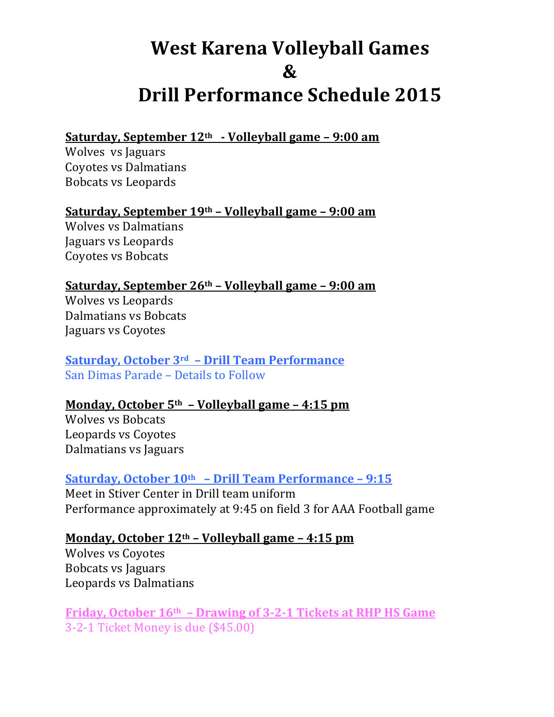# **West Karena Volleyball Games & Drill Performance Schedule 2015**

## Saturday, September 12<sup>th</sup> - Volleyball game - 9:00 am

Wolves vs Jaguars Coyotes vs Dalmatians Bobcats vs Leopards

#### **Saturday, September 19th - Volleyball game - 9:00 am**

Wolves vs Dalmatians Jaguars vs Leopards Coyotes vs Bobcats

# **Saturday, September 26th - Volleyball game - 9:00 am**

Wolves vs Leopards Dalmatians vs Bobcats Jaguars vs Coyotes

## Saturday, October 3<sup>rd</sup> - Drill Team Performance San Dimas Parade – Details to Follow

# **Monday, October 5<sup>th</sup> - Volleyball game - 4:15 pm**

Wolves vs Bobcats Leopards vs Coyotes Dalmatians vs Jaguars

#### **Saturday, October 10th – Drill Team Performance – 9:15**

Meet in Stiver Center in Drill team uniform Performance approximately at 9:45 on field 3 for AAA Football game

# **Monday, October 12<sup>th</sup> – Volleyball game – 4:15 pm**

Wolves vs Coyotes Bobcats vs Jaguars Leopards vs Dalmatians

**Friday, October 16th - Drawing of 3-2-1 Tickets at RHP HS Game** 3-2-1 Ticket Money is due (\$45.00)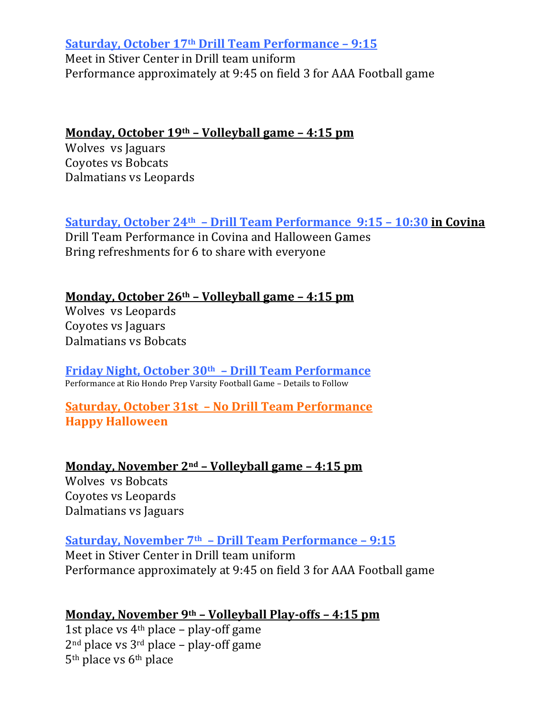**Saturday, October 17th Drill Team Performance - 9:15** Meet in Stiver Center in Drill team uniform Performance approximately at 9:45 on field 3 for AAA Football game

#### Monday, October 19<sup>th</sup> – Volleyball game – 4:15 pm

Wolves vs Jaguars Coyotes vs Bobcats Dalmatians vs Leopards

**<u>Saturday, October 24<sup>th</sup> - Drill Team Performance 9:15 - 10:30 in Covina</u>** 

Drill Team Performance in Covina and Halloween Games Bring refreshments for 6 to share with everyone

#### **Monday, October 26th - Volleyball game - 4:15 pm**

Wolves vs Leopards Coyotes vs Jaguars Dalmatians vs Bobcats

Friday Night, October 30<sup>th</sup> - Drill Team Performance Performance at Rio Hondo Prep Varsity Football Game - Details to Follow

**Saturday, October 31st - No Drill Team Performance Happy Halloween**

**Monday, November 2<sup>nd</sup> - Volleyball game - 4:15 pm** Wolves vs Bobcats Coyotes vs Leopards Dalmatians vs Jaguars

**Saturday, November 7th – Drill Team Performance – 9:15** Meet in Stiver Center in Drill team uniform Performance approximately at 9:45 on field 3 for AAA Football game

# **Monday, November 9th - Volleyball Play-offs - 4:15 pm**

1st place vs  $4<sup>th</sup>$  place – play-off game  $2<sup>nd</sup>$  place vs  $3<sup>rd</sup>$  place – play-off game  $5<sup>th</sup>$  place vs  $6<sup>th</sup>$  place